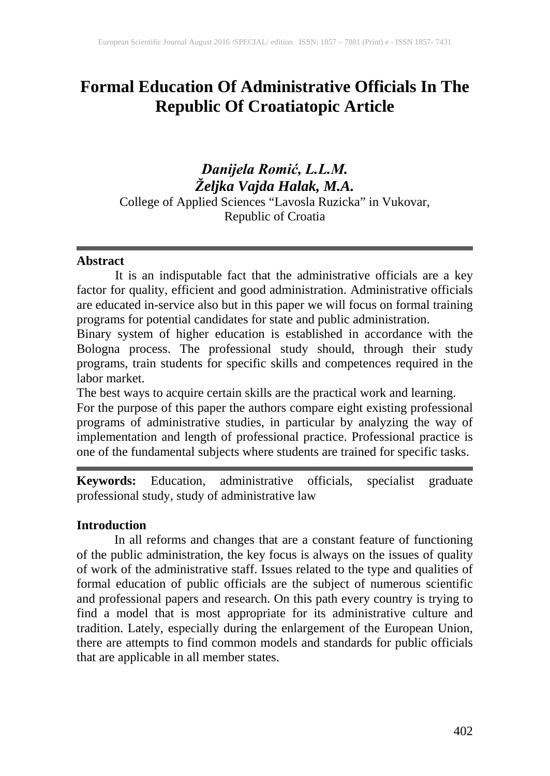# **Formal Education Of Administrative Officials In The Republic Of Croatiatopic Article**

# *Danijela Romić, L.L.M. Željka Vajda Halak, M.A.* College of Applied Sciences "Lavosla Ruzicka" in Vukovar, Republic of Croatia

#### **Abstract**

It is an indisputable fact that the administrative officials are a key factor for quality, efficient and good administration. Administrative officials are educated in-service also but in this paper we will focus on formal training programs for potential candidates for state and public administration.

Binary system of higher education is established in accordance with the Bologna process. The professional study should, through their study programs, train students for specific skills and competences required in the labor market.

The best ways to acquire certain skills are the practical work and learning.

For the purpose of this paper the authors compare eight existing professional programs of administrative studies, in particular by analyzing the way of implementation and length of professional practice. Professional practice is one of the fundamental subjects where students are trained for specific tasks.

**Keywords:** Education, administrative officials, specialist graduate professional study, study of administrative law

### **Introduction**

In all reforms and changes that are a constant feature of functioning of the public administration, the key focus is always on the issues of quality of work of the administrative staff. Issues related to the type and qualities of formal education of public officials are the subject of numerous scientific and professional papers and research. On this path every country is trying to find a model that is most appropriate for its administrative culture and tradition. Lately, especially during the enlargement of the European Union, there are attempts to find common models and standards for public officials that are applicable in all member states.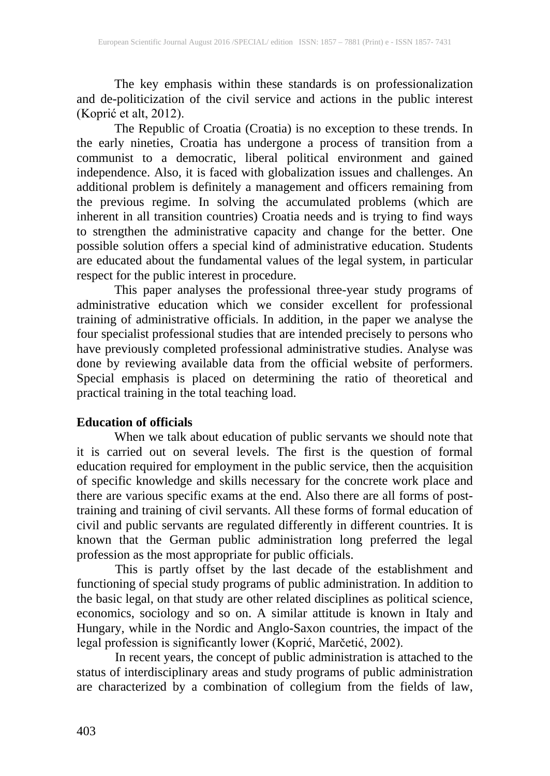The key emphasis within these standards is on professionalization and de-politicization of the civil service and actions in the public interest (Koprić et alt, 2012).

The Republic of Croatia (Croatia) is no exception to these trends. In the early nineties, Croatia has undergone a process of transition from a communist to a democratic, liberal political environment and gained independence. Also, it is faced with globalization issues and challenges. An additional problem is definitely a management and officers remaining from the previous regime. In solving the accumulated problems (which are inherent in all transition countries) Croatia needs and is trying to find ways to strengthen the administrative capacity and change for the better. One possible solution offers a special kind of administrative education. Students are educated about the fundamental values of the legal system, in particular respect for the public interest in procedure.

This paper analyses the professional three-year study programs of administrative education which we consider excellent for professional training of administrative officials. In addition, in the paper we analyse the four specialist professional studies that are intended precisely to persons who have previously completed professional administrative studies. Analyse was done by reviewing available data from the official website of performers. Special emphasis is placed on determining the ratio of theoretical and practical training in the total teaching load.

### **Education of officials**

When we talk about education of public servants we should note that it is carried out on several levels. The first is the question of formal education required for employment in the public service, then the acquisition of specific knowledge and skills necessary for the concrete work place and there are various specific exams at the end. Also there are all forms of posttraining and training of civil servants. All these forms of formal education of civil and public servants are regulated differently in different countries. It is known that the German public administration long preferred the legal profession as the most appropriate for public officials.

This is partly offset by the last decade of the establishment and functioning of special study programs of public administration. In addition to the basic legal, on that study are other related disciplines as political science, economics, sociology and so on. A similar attitude is known in Italy and Hungary, while in the Nordic and Anglo-Saxon countries, the impact of the legal profession is significantly lower (Koprić, Marčetić, 2002).

In recent years, the concept of public administration is attached to the status of interdisciplinary areas and study programs of public administration are characterized by a combination of collegium from the fields of law,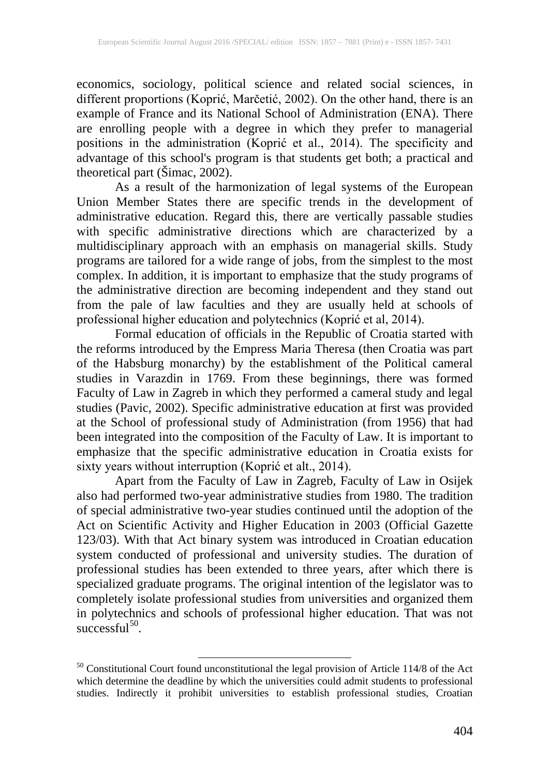economics, sociology, political science and related social sciences, in different proportions (Koprić, Marčetić, 2002). On the other hand, there is an example of France and its National School of Administration (ENA). There are enrolling people with a degree in which they prefer to managerial positions in the administration (Koprić et al., 2014). The specificity and advantage of this school's program is that students get both; a practical and theoretical part (Šimac, 2002).

As a result of the harmonization of legal systems of the European Union Member States there are specific trends in the development of administrative education. Regard this, there are vertically passable studies with specific administrative directions which are characterized by a multidisciplinary approach with an emphasis on managerial skills. Study programs are tailored for a wide range of jobs, from the simplest to the most complex. In addition, it is important to emphasize that the study programs of the administrative direction are becoming independent and they stand out from the pale of law faculties and they are usually held at schools of professional higher education and polytechnics (Koprić et al, 2014).

Formal education of officials in the Republic of Croatia started with the reforms introduced by the Empress Maria Theresa (then Croatia was part of the Habsburg monarchy) by the establishment of the Political cameral studies in Varazdin in 1769. From these beginnings, there was formed Faculty of Law in Zagreb in which they performed a cameral study and legal studies (Pavic, 2002). Specific administrative education at first was provided at the School of professional study of Administration (from 1956) that had been integrated into the composition of the Faculty of Law. It is important to emphasize that the specific administrative education in Croatia exists for sixty years without interruption (Koprić et alt., 2014).

Apart from the Faculty of Law in Zagreb, Faculty of Law in Osijek also had performed two-year administrative studies from 1980. The tradition of special administrative two-year studies continued until the adoption of the Act on Scientific Activity and Higher Education in 2003 (Official Gazette 123/03). With that Act binary system was introduced in Croatian education system conducted of professional and university studies. The duration of professional studies has been extended to three years, after which there is specialized graduate programs. The original intention of the legislator was to completely isolate professional studies from universities and organized them in polytechnics and schools of professional higher education. That was not successful<sup>50</sup>.

<span id="page-2-0"></span> $50$  Constitutional Court found unconstitutional the legal provision of Article 114/8 of the Act which determine the deadline by which the universities could admit students to professional studies. Indirectly it prohibit universities to establish professional studies, Croatian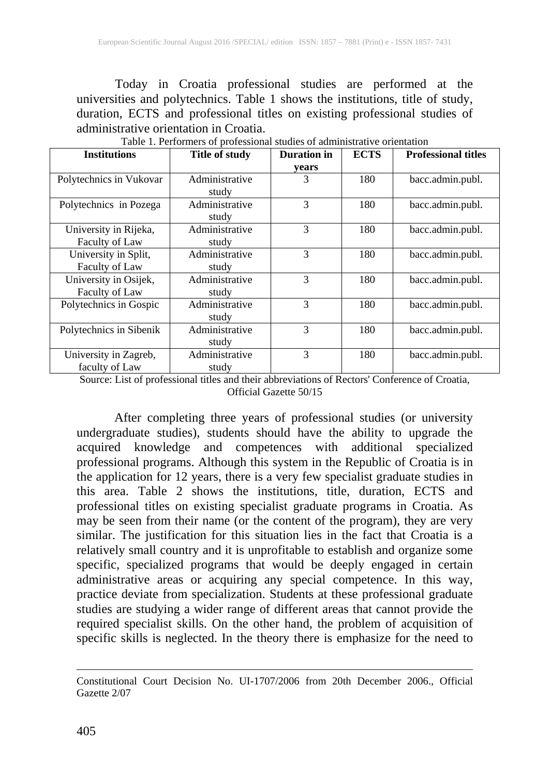Today in Croatia professional studies are performed at the universities and polytechnics. Table 1 shows the institutions, title of study, duration, ECTS and professional titles on existing professional studies of administrative orientation in Croatia.

| <b>Institutions</b>     | Title of study | Duration in | <b>ECTS</b> | <b>Professional titles</b> |
|-------------------------|----------------|-------------|-------------|----------------------------|
|                         |                | years       |             |                            |
| Polytechnics in Vukovar | Administrative | 3           | 180         | bacc.admin.publ.           |
|                         | study          |             |             |                            |
| Polytechnics in Pozega  | Administrative | 3           | 180         | bacc.admin.publ.           |
|                         | study          |             |             |                            |
| University in Rijeka,   | Administrative | 3<br>180    |             | bacc.admin.publ.           |
| <b>Faculty of Law</b>   | study          |             |             |                            |
| University in Split,    | Administrative | 3           | 180         | bacc.admin.publ.           |
| <b>Faculty of Law</b>   | study          |             |             |                            |
| University in Osijek,   | Administrative | 3           | 180         | bacc.admin.publ.           |
| Faculty of Law          | study          |             |             |                            |
| Polytechnics in Gospic  | Administrative | 3           | 180         | bacc.admin.publ.           |
|                         | study          |             |             |                            |
| Polytechnics in Sibenik | Administrative | 3           | 180         | bacc.admin.publ.           |
|                         | study          |             |             |                            |
| University in Zagreb,   | Administrative | 3           | 180         | bacc.admin.publ.           |
| faculty of Law          | study          |             |             |                            |

Table 1. Performers of professional studies of administrative orientation

Source: List of professional titles and their abbreviations of Rectors' Conference of Croatia, Official Gazette 50/15

After completing three years of professional studies (or university undergraduate studies), students should have the ability to upgrade the acquired knowledge and competences with additional specialized professional programs. Although this system in the Republic of Croatia is in the application for 12 years, there is a very few specialist graduate studies in this area. Table 2 shows the institutions, title, duration, ECTS and professional titles on existing specialist graduate programs in Croatia. As may be seen from their name (or the content of the program), they are very similar. The justification for this situation lies in the fact that Croatia is a relatively small country and it is unprofitable to establish and organize some specific, specialized programs that would be deeply engaged in certain administrative areas or acquiring any special competence. In this way, practice deviate from specialization. Students at these professional graduate studies are studying a wider range of different areas that cannot provide the required specialist skills. On the other hand, the problem of acquisition of specific skills is neglected. In the theory there is emphasize for the need to

 $\overline{a}$ Constitutional Court Decision No. UI-1707/2006 from 20th December 2006., Official Gazette 2/07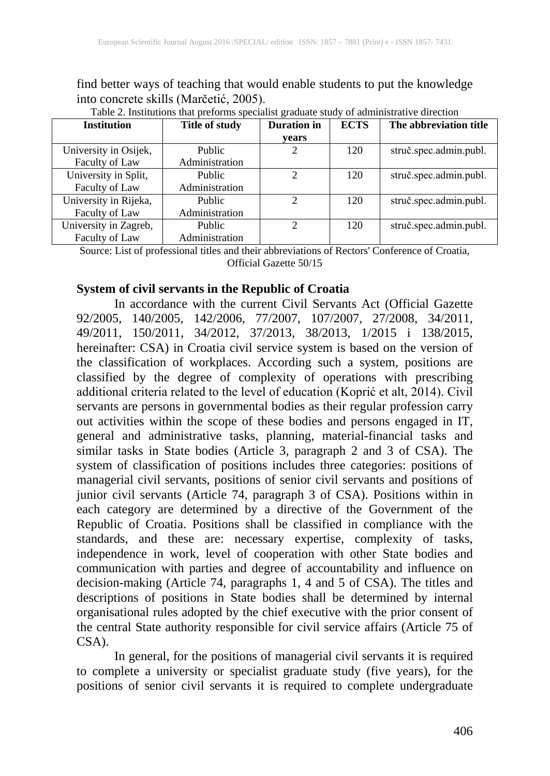find better ways of teaching that would enable students to put the knowledge into concrete skills (Marčetić, 2005).

| <b>Institution</b>    | Title of study | <b>Duration</b> in | <b>ECTS</b> | The abbreviation title |
|-----------------------|----------------|--------------------|-------------|------------------------|
|                       |                | years              |             |                        |
| University in Osijek, | Public         | 2                  | 120         | struč.spec.admin.publ. |
| Faculty of Law        | Administration |                    |             |                        |
| University in Split,  | Public         | $\mathcal{D}$      | 120         | struč.spec.admin.publ. |
| Faculty of Law        | Administration |                    |             |                        |
| University in Rijeka, | Public         | ↑                  | 120         | struč.spec.admin.publ. |
| Faculty of Law        | Administration |                    |             |                        |
| University in Zagreb, | Public         | າ                  | 120         | struč.spec.admin.publ. |
| Faculty of Law        | Administration |                    |             |                        |

Table 2. Institutions that preforms specialist graduate study of administrative direction

Source: List of professional titles and their abbreviations of Rectors' Conference of Croatia, Official Gazette 50/15

# **System of civil servants in the Republic of Croatia**

In accordance with the current Civil Servants Act (Official Gazette 92/2005, 140/2005, 142/2006, 77/2007, 107/2007, 27/2008, 34/2011, 49/2011, 150/2011, 34/2012, 37/2013, 38/2013, 1/2015 i 138/2015, hereinafter: CSA) in Croatia civil service system is based on the version of the classification of workplaces. According such a system, positions are classified by the degree of complexity of operations with prescribing additional criteria related to the level of education (Koprić et alt, 2014). Civil servants are persons in governmental bodies as their regular profession carry out activities within the scope of these bodies and persons engaged in IT, general and administrative tasks, planning, material-financial tasks and similar tasks in State bodies (Article 3, paragraph 2 and 3 of CSA). The system of classification of positions includes three categories: positions of managerial civil servants, positions of senior civil servants and positions of junior civil servants (Article 74, paragraph 3 of CSA). Positions within in each category are determined by a directive of the Government of the Republic of Croatia. Positions shall be classified in compliance with the standards, and these are: necessary expertise, complexity of tasks, independence in work, level of cooperation with other State bodies and communication with parties and degree of accountability and influence on decision-making (Article 74, paragraphs 1, 4 and 5 of CSA). The titles and descriptions of positions in State bodies shall be determined by internal organisational rules adopted by the chief executive with the prior consent of the central State authority responsible for civil service affairs (Article 75 of CSA).

In general, for the positions of managerial civil servants it is required to complete a university or specialist graduate study (five years), for the positions of senior civil servants it is required to complete undergraduate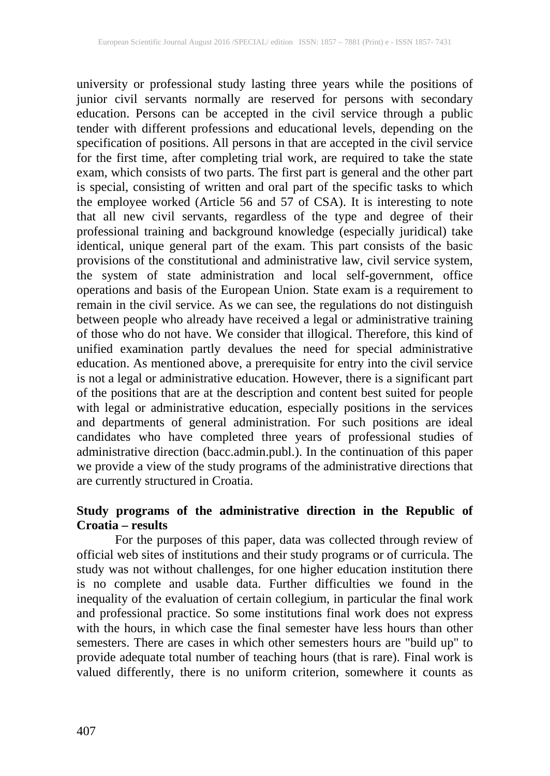university or professional study lasting three years while the positions of junior civil servants normally are reserved for persons with secondary education. Persons can be accepted in the civil service through a public tender with different professions and educational levels, depending on the specification of positions. All persons in that are accepted in the civil service for the first time, after completing trial work, are required to take the state exam, which consists of two parts. The first part is general and the other part is special, consisting of written and oral part of the specific tasks to which the employee worked (Article 56 and 57 of CSA). It is interesting to note that all new civil servants, regardless of the type and degree of their professional training and background knowledge (especially juridical) take identical, unique general part of the exam. This part consists of the basic provisions of the constitutional and administrative law, civil service system, the system of state administration and local self-government, office operations and basis of the European Union. State exam is a requirement to remain in the civil service. As we can see, the regulations do not distinguish between people who already have received a legal or administrative training of those who do not have. We consider that illogical. Therefore, this kind of unified examination partly devalues the need for special administrative education. As mentioned above, a prerequisite for entry into the civil service is not a legal or administrative education. However, there is a significant part of the positions that are at the description and content best suited for people with legal or administrative education, especially positions in the services and departments of general administration. For such positions are ideal candidates who have completed three years of professional studies of administrative direction (bacc.admin.publ.). In the continuation of this paper we provide a view of the study programs of the administrative directions that are currently structured in Croatia.

### **Study programs of the administrative direction in the Republic of Croatia – results**

For the purposes of this paper, data was collected through review of official web sites of institutions and their study programs or of curricula. The study was not without challenges, for one higher education institution there is no complete and usable data. Further difficulties we found in the inequality of the evaluation of certain collegium, in particular the final work and professional practice. So some institutions final work does not express with the hours, in which case the final semester have less hours than other semesters. There are cases in which other semesters hours are "build up" to provide adequate total number of teaching hours (that is rare). Final work is valued differently, there is no uniform criterion, somewhere it counts as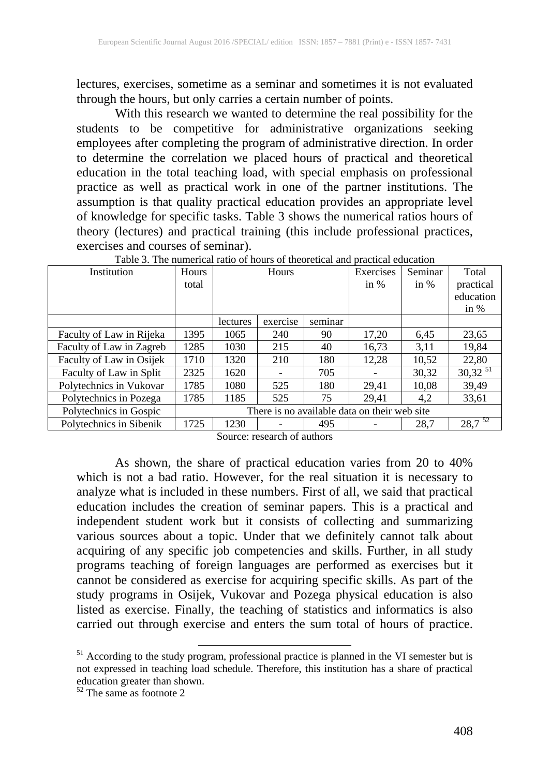lectures, exercises, sometime as a seminar and sometimes it is not evaluated through the hours, but only carries a certain number of points.

With this research we wanted to determine the real possibility for the students to be competitive for administrative organizations seeking employees after completing the program of administrative direction. In order to determine the correlation we placed hours of practical and theoretical education in the total teaching load, with special emphasis on professional practice as well as practical work in one of the partner institutions. The assumption is that quality practical education provides an appropriate level of knowledge for specific tasks. Table 3 shows the numerical ratios hours of theory (lectures) and practical training (this include professional practices, exercises and courses of seminar).

|                          | Table 9. The numerical fatio of hours of theoretical and blactical cultural |          |          |         |           |         |              |
|--------------------------|-----------------------------------------------------------------------------|----------|----------|---------|-----------|---------|--------------|
| Institution              | Hours                                                                       | Hours    |          |         | Exercises | Seminar | Total        |
|                          | total                                                                       |          |          |         | in $%$    | in $%$  | practical    |
|                          |                                                                             |          |          |         |           |         | education    |
|                          |                                                                             |          |          |         |           |         | in $%$       |
|                          |                                                                             | lectures | exercise | seminar |           |         |              |
| Faculty of Law in Rijeka | 1395                                                                        | 1065     | 240      | 90      | 17,20     | 6.45    | 23,65        |
| Faculty of Law in Zagreb | 1285                                                                        | 1030     | 215      | 40      | 16,73     | 3,11    | 19.84        |
| Faculty of Law in Osijek | 1710                                                                        | 1320     | 210      | 180     | 12,28     | 10,52   | 22,80        |
| Faculty of Law in Split  | 2325                                                                        | 1620     |          | 705     |           | 30,32   | $30,32^{51}$ |
| Polytechnics in Vukovar  | 1785                                                                        | 1080     | 525      | 180     | 29,41     | 10.08   | 39,49        |
| Polytechnics in Pozega   | 1785                                                                        | 1185     | 525      | 75      | 29.41     | 4.2     | 33,61        |
| Polytechnics in Gospic   | There is no available data on their web site.                               |          |          |         |           |         |              |
| Polytechnics in Sibenik  | 1725                                                                        | 1230     |          | 495     |           | 28,7    | $28,7^{52}$  |

Table 3. The numerical ratio of hours of theoretical and practical education

Source: research of authors

As shown, the share of practical education varies from 20 to 40% which is not a bad ratio. However, for the real situation it is necessary to analyze what is included in these numbers. First of all, we said that practical education includes the creation of seminar papers. This is a practical and independent student work but it consists of collecting and summarizing various sources about a topic. Under that we definitely cannot talk about acquiring of any specific job competencies and skills. Further, in all study programs teaching of foreign languages are performed as exercises but it cannot be considered as exercise for acquiring specific skills. As part of the study programs in Osijek, Vukovar and Pozega physical education is also listed as exercise. Finally, the teaching of statistics and informatics is also carried out through exercise and enters the sum total of hours of practice.

<sup>&</sup>lt;sup>51</sup> According to the study program, professional practice is planned in the VI semester but is not expressed in teaching load schedule. Therefore, this institution has a share of practical education greater than shown.<br><sup>52</sup> The same as footnote 2

<span id="page-6-0"></span>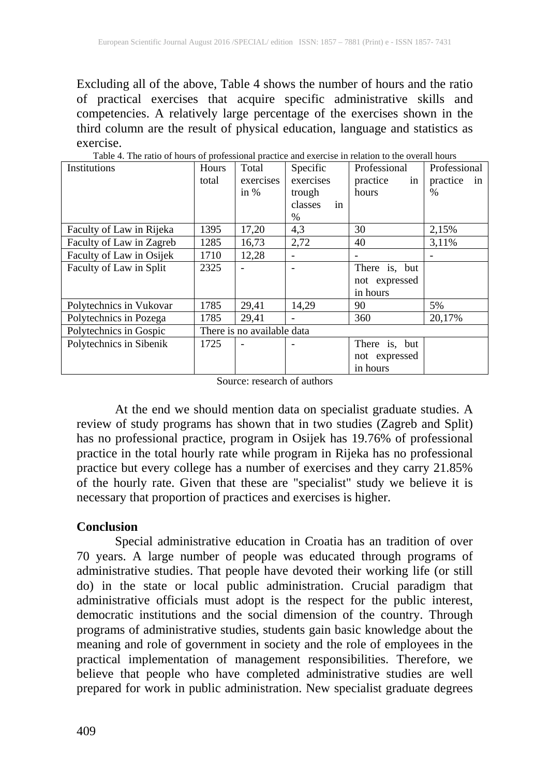Excluding all of the above, Table 4 shows the number of hours and the ratio of practical exercises that acquire specific administrative skills and competencies. A relatively large percentage of the exercises shown in the third column are the result of physical education, language and statistics as exercise.

| Institutions             | Hours                      | Total     | Specific                 | Professional   | Professional   |  |
|--------------------------|----------------------------|-----------|--------------------------|----------------|----------------|--|
|                          | total                      | exercises | exercises                | practice<br>in | practice<br>in |  |
|                          |                            | in $%$    | trough                   | hours          | $\%$           |  |
|                          |                            |           | classes<br>in            |                |                |  |
|                          |                            |           | %                        |                |                |  |
| Faculty of Law in Rijeka | 1395                       | 17,20     | 4,3                      | 30             | 2,15%          |  |
| Faculty of Law in Zagreb | 1285                       | 16,73     | 2,72                     | 40             | 3,11%          |  |
| Faculty of Law in Osijek | 1710                       | 12,28     | $\overline{\phantom{a}}$ |                |                |  |
| Faculty of Law in Split  | 2325                       |           |                          | There is, but  |                |  |
|                          |                            |           |                          | not expressed  |                |  |
|                          |                            |           |                          | in hours       |                |  |
| Polytechnics in Vukovar  | 1785                       | 29,41     | 14,29                    | 90             | 5%             |  |
| Polytechnics in Pozega   | 1785                       | 29,41     | $\overline{\phantom{a}}$ | 360            | 20.17%         |  |
| Polytechnics in Gospic   | There is no available data |           |                          |                |                |  |
| Polytechnics in Sibenik  | 1725                       |           |                          | There is, but  |                |  |
|                          |                            |           |                          | not expressed  |                |  |
|                          |                            |           |                          | in hours       |                |  |

Table 4. The ratio of hours of professional practice and exercise in relation to the overall hours

Source: research of authors

At the end we should mention data on specialist graduate studies. A review of study programs has shown that in two studies (Zagreb and Split) has no professional practice, program in Osijek has 19.76% of professional practice in the total hourly rate while program in Rijeka has no professional practice but every college has a number of exercises and they carry 21.85% of the hourly rate. Given that these are "specialist" study we believe it is necessary that proportion of practices and exercises is higher.

#### **Conclusion**

Special administrative education in Croatia has an tradition of over 70 years. A large number of people was educated through programs of administrative studies. That people have devoted their working life (or still do) in the state or local public administration. Crucial paradigm that administrative officials must adopt is the respect for the public interest, democratic institutions and the social dimension of the country. Through programs of administrative studies, students gain basic knowledge about the meaning and role of government in society and the role of employees in the practical implementation of management responsibilities. Therefore, we believe that people who have completed administrative studies are well prepared for work in public administration. New specialist graduate degrees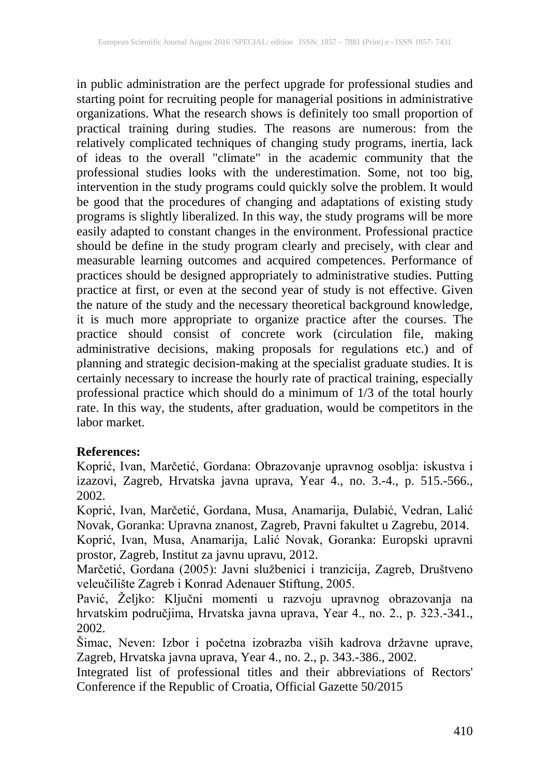in public administration are the perfect upgrade for professional studies and starting point for recruiting people for managerial positions in administrative organizations. What the research shows is definitely too small proportion of practical training during studies. The reasons are numerous: from the relatively complicated techniques of changing study programs, inertia, lack of ideas to the overall "climate" in the academic community that the professional studies looks with the underestimation. Some, not too big, intervention in the study programs could quickly solve the problem. It would be good that the procedures of changing and adaptations of existing study programs is slightly liberalized. In this way, the study programs will be more easily adapted to constant changes in the environment. Professional practice should be define in the study program clearly and precisely, with clear and measurable learning outcomes and acquired competences. Performance of practices should be designed appropriately to administrative studies. Putting practice at first, or even at the second year of study is not effective. Given the nature of the study and the necessary theoretical background knowledge, it is much more appropriate to organize practice after the courses. The practice should consist of concrete work (circulation file, making administrative decisions, making proposals for regulations etc.) and of planning and strategic decision-making at the specialist graduate studies. It is certainly necessary to increase the hourly rate of practical training, especially professional practice which should do a minimum of 1/3 of the total hourly rate. In this way, the students, after graduation, would be competitors in the labor market.

### **References:**

Koprić, Ivan, Marčetić, Gordana: Obrazovanje upravnog osoblja: iskustva i izazovi, Zagreb, Hrvatska javna uprava, Year 4., no. 3.-4., p. 515.-566., 2002.

Koprić, Ivan, Marčetić, Gordana, Musa, Anamarija, Đulabić, Vedran, Lalić Novak, Goranka: Upravna znanost, Zagreb, Pravni fakultet u Zagrebu, 2014.

Koprić, Ivan, Musa, Anamarija, Lalić Novak, Goranka: Europski upravni prostor, Zagreb, Institut za javnu upravu, 2012.

Marčetić, Gordana (2005): Javni službenici i tranzicija, Zagreb, Društveno veleučilište Zagreb i Konrad Adenauer Stiftung, 2005.

Pavić, Željko: Ključni momenti u razvoju upravnog obrazovanja na hrvatskim područjima, Hrvatska javna uprava, Year 4., no. 2., p. 323.-341., 2002.

Šimac, Neven: Izbor i početna izobrazba viših kadrova državne uprave, Zagreb, Hrvatska javna uprava, Year 4., no. 2., p. 343.-386., 2002.

Integrated list of professional titles and their abbreviations of Rectors' Conference if the Republic of Croatia, Official Gazette 50/2015